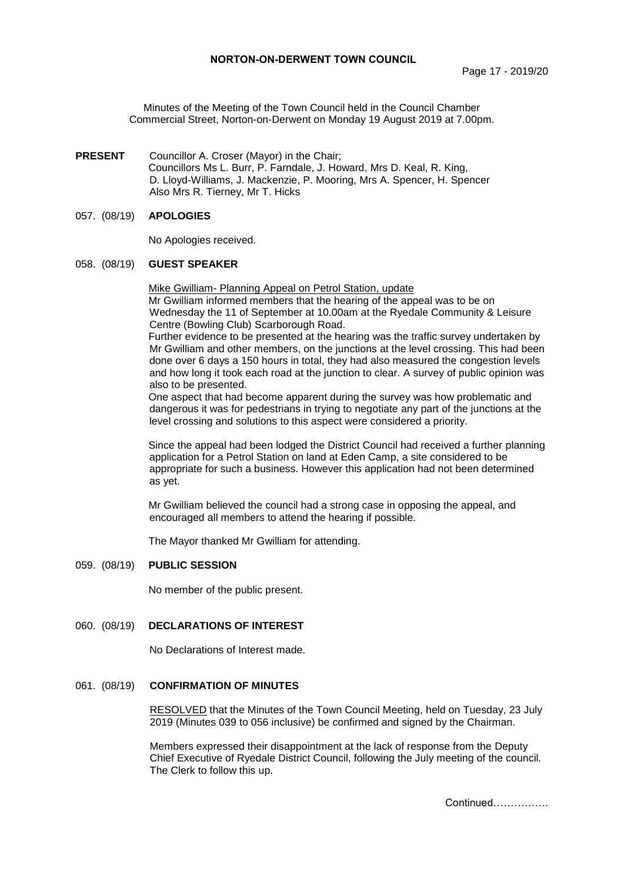Minutes of the Meeting of the Town Council held in the Council Chamber Commercial Street, Norton-on-Derwent on Monday 19 August 2019 at 7.00pm.

**PRESENT** Councillor A. Croser (Mayor) in the Chair; Councillors Ms L. Burr, P. Farndale, J. Howard, Mrs D. Keal, R. King, D. Lloyd-Williams, J. Mackenzie, P. Mooring, Mrs A. Spencer, H. Spencer Also Mrs R. Tierney, Mr T. Hicks

### 057. (08/19) **APOLOGIES**

No Apologies received.

#### 058. (08/19) **GUEST SPEAKER**

Mike Gwilliam- Planning Appeal on Petrol Station, update Mr Gwilliam informed members that the hearing of the appeal was to be on Wednesday the 11 of September at 10.00am at the Ryedale Community & Leisure Centre (Bowling Club) Scarborough Road.

Further evidence to be presented at the hearing was the traffic survey undertaken by Mr Gwilliam and other members, on the junctions at the level crossing. This had been done over 6 days a 150 hours in total, they had also measured the congestion levels and how long it took each road at the junction to clear. A survey of public opinion was also to be presented.

One aspect that had become apparent during the survey was how problematic and dangerous it was for pedestrians in trying to negotiate any part of the junctions at the level crossing and solutions to this aspect were considered a priority.

Since the appeal had been lodged the District Council had received a further planning application for a Petrol Station on land at Eden Camp, a site considered to be appropriate for such a business. However this application had not been determined as yet.

Mr Gwilliam believed the council had a strong case in opposing the appeal, and encouraged all members to attend the hearing if possible.

The Mayor thanked Mr Gwilliam for attending.

### 059. (08/19) **PUBLIC SESSION**

No member of the public present.

## 060. (08/19) **DECLARATIONS OF INTEREST**

No Declarations of Interest made.

## 061. (08/19) **CONFIRMATION OF MINUTES**

 RESOLVED that the Minutes of the Town Council Meeting, held on Tuesday, 23 July 2019 (Minutes 039 to 056 inclusive) be confirmed and signed by the Chairman.

Members expressed their disappointment at the lack of response from the Deputy Chief Executive of Ryedale District Council, following the July meeting of the council. The Clerk to follow this up.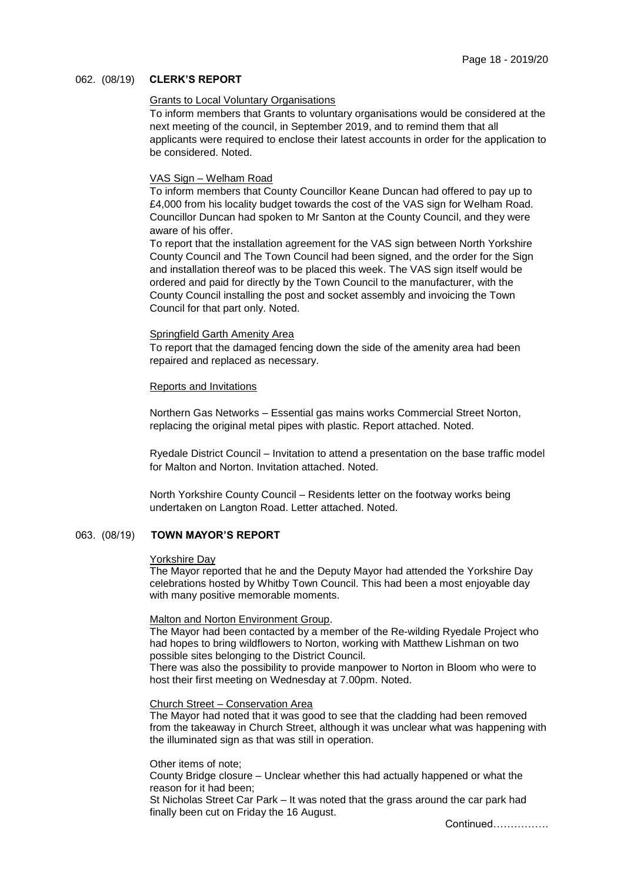## 062. (08/19) **CLERK'S REPORT**

## Grants to Local Voluntary Organisations

To inform members that Grants to voluntary organisations would be considered at the next meeting of the council, in September 2019, and to remind them that all applicants were required to enclose their latest accounts in order for the application to be considered. Noted.

### VAS Sign – Welham Road

To inform members that County Councillor Keane Duncan had offered to pay up to £4,000 from his locality budget towards the cost of the VAS sign for Welham Road. Councillor Duncan had spoken to Mr Santon at the County Council, and they were aware of his offer.

To report that the installation agreement for the VAS sign between North Yorkshire County Council and The Town Council had been signed, and the order for the Sign and installation thereof was to be placed this week. The VAS sign itself would be ordered and paid for directly by the Town Council to the manufacturer, with the County Council installing the post and socket assembly and invoicing the Town Council for that part only. Noted.

### Springfield Garth Amenity Area

To report that the damaged fencing down the side of the amenity area had been repaired and replaced as necessary.

### Reports and Invitations

Northern Gas Networks – Essential gas mains works Commercial Street Norton, replacing the original metal pipes with plastic. Report attached. Noted.

Ryedale District Council – Invitation to attend a presentation on the base traffic model for Malton and Norton. Invitation attached. Noted.

North Yorkshire County Council – Residents letter on the footway works being undertaken on Langton Road. Letter attached. Noted.

# 063. (08/19) **TOWN MAYOR'S REPORT**

#### Yorkshire Day

The Mayor reported that he and the Deputy Mayor had attended the Yorkshire Day celebrations hosted by Whitby Town Council. This had been a most enjoyable day with many positive memorable moments.

## Malton and Norton Environment Group.

The Mayor had been contacted by a member of the Re-wilding Ryedale Project who had hopes to bring wildflowers to Norton, working with Matthew Lishman on two possible sites belonging to the District Council.

There was also the possibility to provide manpower to Norton in Bloom who were to host their first meeting on Wednesday at 7.00pm. Noted.

#### Church Street – Conservation Area

The Mayor had noted that it was good to see that the cladding had been removed from the takeaway in Church Street, although it was unclear what was happening with the illuminated sign as that was still in operation.

#### Other items of note;

County Bridge closure – Unclear whether this had actually happened or what the reason for it had been;

St Nicholas Street Car Park – It was noted that the grass around the car park had finally been cut on Friday the 16 August.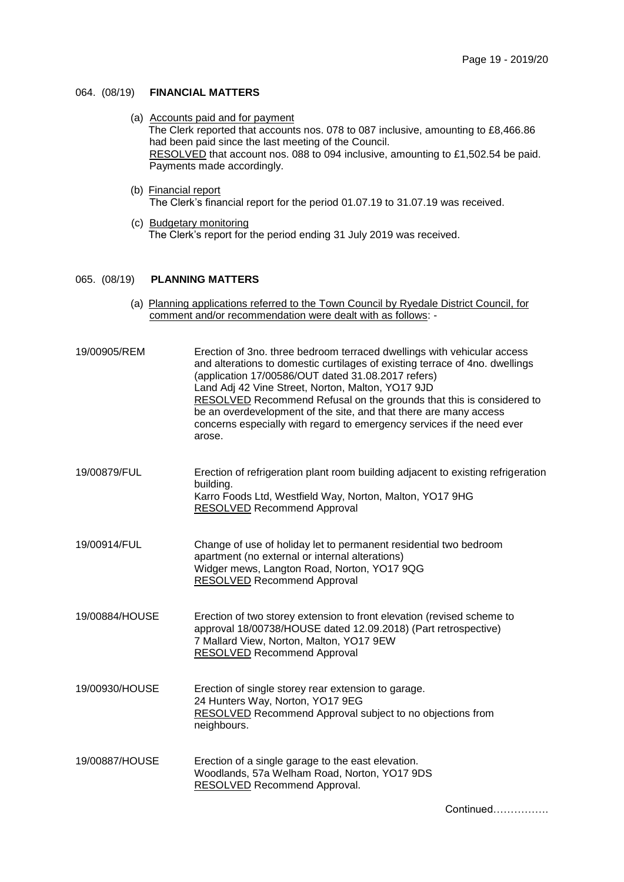# 064. (08/19) **FINANCIAL MATTERS**

- (a) Accounts paid and for payment The Clerk reported that accounts nos. 078 to 087 inclusive, amounting to £8,466.86 had been paid since the last meeting of the Council. RESOLVED that account nos. 088 to 094 inclusive, amounting to £1,502.54 be paid. Payments made accordingly.
- (b) Financial report The Clerk's financial report for the period 01.07.19 to 31.07.19 was received.
- (c) Budgetary monitoring The Clerk's report for the period ending 31 July 2019 was received.

### 065. (08/19) **PLANNING MATTERS**

(a) Planning applications referred to the Town Council by Ryedale District Council, for comment and/or recommendation were dealt with as follows: -

| 19/00905/REM   | Erection of 3no. three bedroom terraced dwellings with vehicular access<br>and alterations to domestic curtilages of existing terrace of 4no. dwellings<br>(application 17/00586/OUT dated 31.08.2017 refers)<br>Land Adj 42 Vine Street, Norton, Malton, YO17 9JD<br>RESOLVED Recommend Refusal on the grounds that this is considered to<br>be an overdevelopment of the site, and that there are many access<br>concerns especially with regard to emergency services if the need ever<br>arose. |
|----------------|-----------------------------------------------------------------------------------------------------------------------------------------------------------------------------------------------------------------------------------------------------------------------------------------------------------------------------------------------------------------------------------------------------------------------------------------------------------------------------------------------------|
| 19/00879/FUL   | Erection of refrigeration plant room building adjacent to existing refrigeration<br>building.<br>Karro Foods Ltd, Westfield Way, Norton, Malton, YO17 9HG<br><b>RESOLVED Recommend Approval</b>                                                                                                                                                                                                                                                                                                     |
| 19/00914/FUL   | Change of use of holiday let to permanent residential two bedroom<br>apartment (no external or internal alterations)<br>Widger mews, Langton Road, Norton, YO17 9QG<br><b>RESOLVED Recommend Approval</b>                                                                                                                                                                                                                                                                                           |
| 19/00884/HOUSE | Erection of two storey extension to front elevation (revised scheme to<br>approval 18/00738/HOUSE dated 12.09.2018) (Part retrospective)<br>7 Mallard View, Norton, Malton, YO17 9EW<br><b>RESOLVED</b> Recommend Approval                                                                                                                                                                                                                                                                          |
| 19/00930/HOUSE | Erection of single storey rear extension to garage.<br>24 Hunters Way, Norton, YO17 9EG<br>RESOLVED Recommend Approval subject to no objections from<br>neighbours.                                                                                                                                                                                                                                                                                                                                 |
| 19/00887/HOUSE | Erection of a single garage to the east elevation.<br>Woodlands, 57a Welham Road, Norton, YO17 9DS<br>RESOLVED Recommend Approval.                                                                                                                                                                                                                                                                                                                                                                  |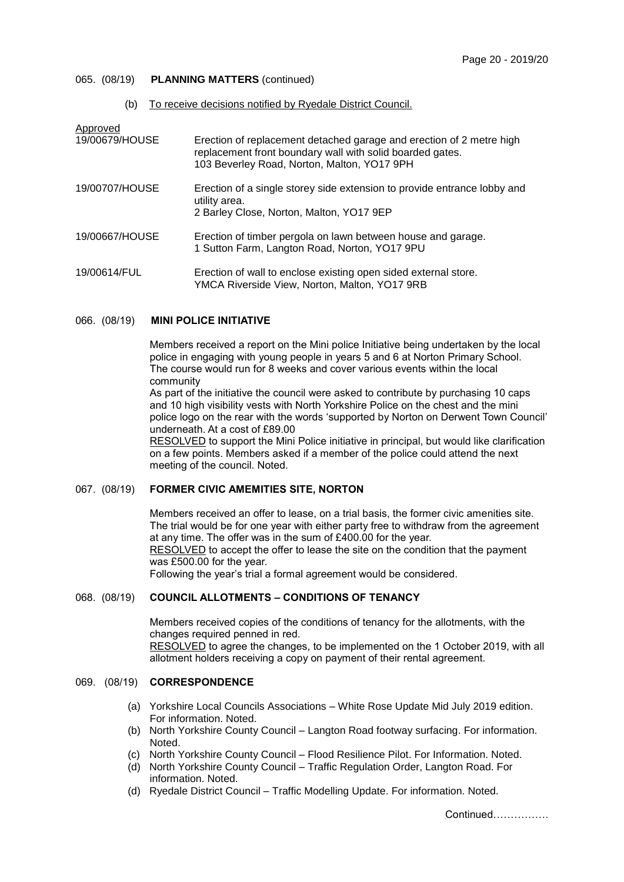## 065. (08/19) **PLANNING MATTERS** (continued)

### (b) To receive decisions notified by Ryedale District Council.

| Approved<br>19/00679/HOUSE | Erection of replacement detached garage and erection of 2 metre high<br>replacement front boundary wall with solid boarded gates.<br>103 Beverley Road, Norton, Malton, YO17 9PH |
|----------------------------|----------------------------------------------------------------------------------------------------------------------------------------------------------------------------------|
| 19/00707/HOUSE             | Erection of a single storey side extension to provide entrance lobby and<br>utility area.<br>2 Barley Close, Norton, Malton, YO17 9EP                                            |
| 19/00667/HOUSE             | Erection of timber pergola on lawn between house and garage.<br>1 Sutton Farm, Langton Road, Norton, YO17 9PU                                                                    |
| 19/00614/FUL               | Erection of wall to enclose existing open sided external store.<br>YMCA Riverside View, Norton, Malton, YO17 9RB                                                                 |

### 066. (08/19) **MINI POLICE INITIATIVE**

Members received a report on the Mini police Initiative being undertaken by the local police in engaging with young people in years 5 and 6 at Norton Primary School. The course would run for 8 weeks and cover various events within the local community

As part of the initiative the council were asked to contribute by purchasing 10 caps and 10 high visibility vests with North Yorkshire Police on the chest and the mini police logo on the rear with the words 'supported by Norton on Derwent Town Council' underneath. At a cost of £89.00

RESOLVED to support the Mini Police initiative in principal, but would like clarification on a few points. Members asked if a member of the police could attend the next meeting of the council. Noted.

## 067. (08/19) **FORMER CIVIC AMEMITIES SITE, NORTON**

Members received an offer to lease, on a trial basis, the former civic amenities site. The trial would be for one year with either party free to withdraw from the agreement at any time. The offer was in the sum of £400.00 for the year. RESOLVED to accept the offer to lease the site on the condition that the payment was £500.00 for the year. Following the year's trial a formal agreement would be considered.

## 068. (08/19) **COUNCIL ALLOTMENTS – CONDITIONS OF TENANCY**

Members received copies of the conditions of tenancy for the allotments, with the changes required penned in red. RESOLVED to agree the changes, to be implemented on the 1 October 2019, with all allotment holders receiving a copy on payment of their rental agreement.

## 069. (08/19) **CORRESPONDENCE**

- (a) Yorkshire Local Councils Associations White Rose Update Mid July 2019 edition. For information. Noted.
- (b) North Yorkshire County Council Langton Road footway surfacing. For information. Noted.
- (c) North Yorkshire County Council Flood Resilience Pilot. For Information. Noted.
- (d) North Yorkshire County Council Traffic Regulation Order, Langton Road. For information. Noted.
- (d) Ryedale District Council Traffic Modelling Update. For information. Noted.